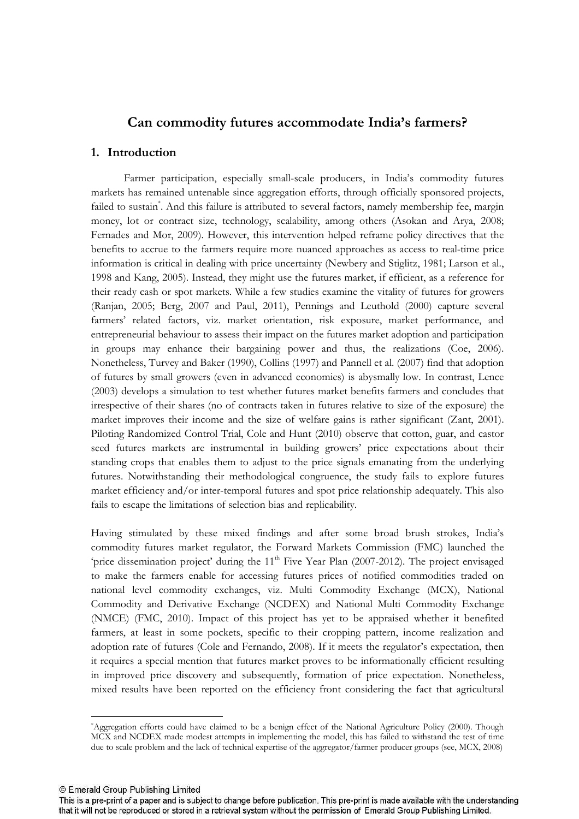# **Can commodity futures accommodate India's farmers?**

### **1. Introduction**

Farmer participation, especially smallscale producers, in India's commodity futures markets has remained untenable since aggregation efforts, through officially sponsored projects, failed to sustain<sup>\*</sup>. And this failure is attributed to several factors, namely membership fee, margin money, lot or contract size, technology, scalability, among others (Asokan and Arya, 2008; Fernades and Mor, 2009). However, this intervention helped reframe policy directives that the benefits to accrue to the farmers require more nuanced approaches as access to real-time price information is critical in dealing with price uncertainty (Newbery and Stiglitz, 1981; Larson et al., 1998 and Kang, 2005). Instead, they might use the futures market, if efficient, as a reference for their ready cash or spot markets. While a few studies examine the vitality of futures for growers (Ranjan, 2005; Berg, 2007 and Paul, 2011), Pennings and Leuthold (2000) capture several farmers' related factors, viz. market orientation, risk exposure, market performance, and entrepreneurial behaviour to assess their impact on the futures market adoption and participation in groups may enhance their bargaining power and thus, the realizations (Coe, 2006). Nonetheless, Turvey and Baker (1990), Collins (1997) and Pannell et al. (2007) find that adoption of futures by small growers (even in advanced economies) is abysmally low. In contrast, Lence (2003) develops a simulation to test whether futures market benefits farmers and concludes that irrespective of their shares (no of contracts taken in futures relative to size of the exposure) the market improves their income and the size of welfare gains is rather significant (Zant, 2001). Piloting Randomized Control Trial, Cole and Hunt (2010) observe that cotton, guar, and castor seed futures markets are instrumental in building growers' price expectations about their standing crops that enables them to adjust to the price signals emanating from the underlying futures. Notwithstanding their methodological congruence, the study fails to explore futures market efficiency and/or inter-temporal futures and spot price relationship adequately. This also fails to escape the limitations of selection bias and replicability.

Having stimulated by these mixed findings and after some broad brush strokes, India's commodity futures market regulator, the Forward Markets Commission (FMC) launched the 'price dissemination project' during the  $11<sup>th</sup>$  Five Year Plan (2007-2012). The project envisaged to make the farmers enable for accessing futures prices of notified commodities traded on national level commodity exchanges, viz. Multi Commodity Exchange (MCX), National Commodity and Derivative Exchange (NCDEX) and National Multi Commodity Exchange (NMCE) (FMC, 2010). Impact of this project has yet to be appraised whether it benefited farmers, at least in some pockets, specific to their cropping pattern, income realization and adoption rate of futures (Cole and Fernando, 2008). If it meets the regulator's expectation, then it requires a special mention that futures market proves to be informationally efficient resulting in improved price discovery and subsequently, formation of price expectation. Nonetheless, mixed results have been reported on the efficiency front considering the fact that agricultural

© Emerald Group Publishing Limited

l

<sup>\*</sup>Aggregation efforts could have claimed to be a benign effect of the National Agriculture Policy (2000). Though MCX and NCDEX made modest attempts in implementing the model, this has failed to withstand the test of time due to scale problem and the lack of technical expertise of the aggregator/farmer producer groups (see, MCX, 2008)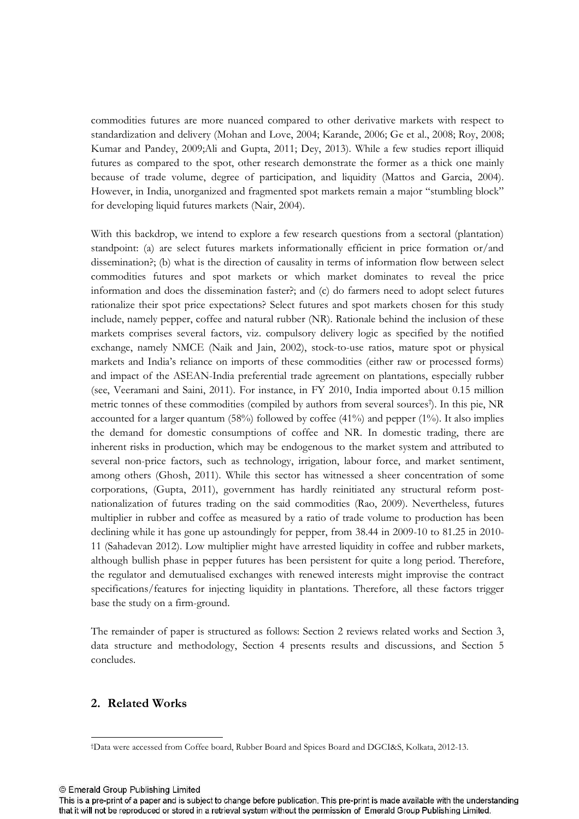commodities futures are more nuanced compared to other derivative markets with respect to standardization and delivery (Mohan and Love, 2004; Karande, 2006; Ge et al., 2008; Roy, 2008; Kumar and Pandey, 2009;Ali and Gupta, 2011; Dey, 2013). While a few studies report illiquid futures as compared to the spot, other research demonstrate the former as a thick one mainly because of trade volume, degree of participation, and liquidity (Mattos and Garcia, 2004). However, in India, unorganized and fragmented spot markets remain a major "stumbling block" for developing liquid futures markets (Nair, 2004).

With this backdrop, we intend to explore a few research questions from a sectoral (plantation) standpoint: (a) are select futures markets informationally efficient in price formation or/and dissemination?; (b) what is the direction of causality in terms of information flow between select commodities futures and spot markets or which market dominates to reveal the price information and does the dissemination faster?; and (c) do farmers need to adopt select futures rationalize their spot price expectations? Select futures and spot markets chosen for this study include, namely pepper, coffee and natural rubber (NR). Rationale behind the inclusion of these markets comprises several factors, viz. compulsory delivery logic as specified by the notified exchange, namely NMCE (Naik and Jain, 2002), stock-to-use ratios, mature spot or physical markets and India's reliance on imports of these commodities (either raw or processed forms) and impact of the ASEAN-India preferential trade agreement on plantations, especially rubber (see, Veeramani and Saini, 2011). For instance, in FY 2010, India imported about 0.15 million metric tonnes of these commodities (compiled by authors from several sources† ). In this pie, NR accounted for a larger quantum  $(58%)$  followed by coffee  $(41%)$  and pepper  $(1%)$ . It also implies the demand for domestic consumptions of coffee and NR. In domestic trading, there are inherent risks in production, which may be endogenous to the market system and attributed to several non-price factors, such as technology, irrigation, labour force, and market sentiment, among others (Ghosh, 2011). While this sector has witnessed a sheer concentration of some corporations, (Gupta, 2011), government has hardly reinitiated any structural reform post nationalization of futures trading on the said commodities (Rao, 2009). Nevertheless, futures multiplier in rubber and coffee as measured by a ratio of trade volume to production has been declining while it has gone up astoundingly for pepper, from 38.44 in 2009-10 to 81.25 in 2010-11 (Sahadevan 2012). Low multiplier might have arrested liquidity in coffee and rubber markets, although bullish phase in pepper futures has been persistent for quite a long period. Therefore, the regulator and demutualised exchanges with renewed interests might improvise the contract specifications/features for injecting liquidity in plantations. Therefore, all these factors trigger base the study on a firm-ground.

The remainder of paper is structured as follows: Section 2 reviews related works and Section 3, data structure and methodology, Section 4 presents results and discussions, and Section 5 concludes.

## **2. Related Works**

© Emerald Group Publishing Limited

L

<sup>†</sup>Data were accessed from Coffee board, Rubber Board and Spices Board and DGCI&S, Kolkata, 201213.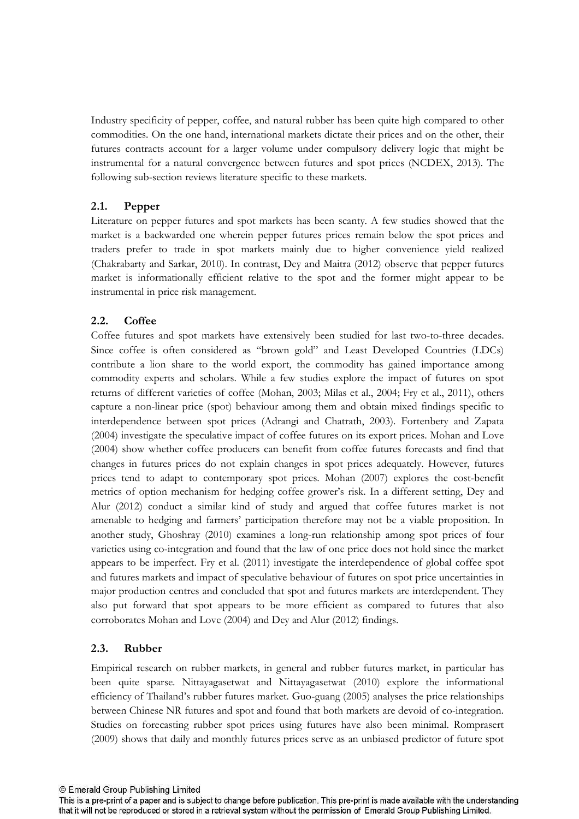Industry specificity of pepper, coffee, and natural rubber has been quite high compared to other commodities. On the one hand, international markets dictate their prices and on the other, their futures contracts account for a larger volume under compulsory delivery logic that might be instrumental for a natural convergence between futures and spot prices (NCDEX, 2013). The following sub-section reviews literature specific to these markets.

# **2.1. Pepper**

Literature on pepper futures and spot markets has been scanty. A few studies showed that the market is a backwarded one wherein pepper futures prices remain below the spot prices and traders prefer to trade in spot markets mainly due to higher convenience yield realized (Chakrabarty and Sarkar, 2010). In contrast, Dey and Maitra (2012) observe that pepper futures market is informationally efficient relative to the spot and the former might appear to be instrumental in price risk management.

# **2.2. Coffee**

Coffee futures and spot markets have extensively been studied for last two-to-three decades. Since coffee is often considered as "brown gold" and Least Developed Countries (LDCs) contribute a lion share to the world export, the commodity has gained importance among commodity experts and scholars. While a few studies explore the impact of futures on spot returns of different varieties of coffee (Mohan, 2003; Milas et al., 2004; Fry et al., 2011), others capture a nonlinear price (spot) behaviour among them and obtain mixed findings specific to interdependence between spot prices (Adrangi and Chatrath, 2003). Fortenbery and Zapata (2004) investigate the speculative impact of coffee futures on its export prices. Mohan and Love (2004) show whether coffee producers can benefit from coffee futures forecasts and find that changes in futures prices do not explain changes in spot prices adequately. However, futures prices tend to adapt to contemporary spot prices. Mohan (2007) explores the cost-benefit metrics of option mechanism for hedging coffee grower's risk. In a different setting, Dey and Alur (2012) conduct a similar kind of study and argued that coffee futures market is not amenable to hedging and farmers' participation therefore may not be a viable proposition. In another study, Ghoshray (2010) examines a long-run relationship among spot prices of four varieties using co-integration and found that the law of one price does not hold since the market appears to be imperfect. Fry et al. (2011) investigate the interdependence of global coffee spot and futures markets and impact of speculative behaviour of futures on spot price uncertainties in major production centres and concluded that spot and futures markets are interdependent. They also put forward that spot appears to be more efficient as compared to futures that also corroborates Mohan and Love (2004) and Dey and Alur (2012) findings.

# **2.3. Rubber**

Empirical research on rubber markets, in general and rubber futures market, in particular has been quite sparse. Nittayagasetwat and Nittayagasetwat (2010) explore the informational efficiency of Thailand's rubber futures market. Guoguang (2005) analyses the price relationships between Chinese NR futures and spot and found that both markets are devoid of co-integration. Studies on forecasting rubber spot prices using futures have also been minimal. Romprasert (2009) shows that daily and monthly futures prices serve as an unbiased predictor of future spot

This is a pre-print of a paper and is subject to change before publication. This pre-print is made available with the understanding that it will not be reproduced or stored in a retrieval system without the permission of Emerald Group Publishing Limited.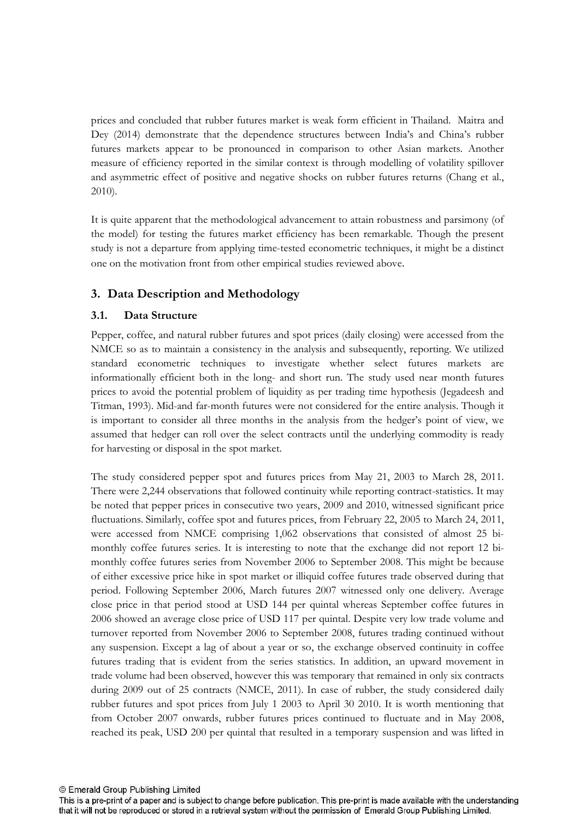prices and concluded that rubber futures market is weak form efficient in Thailand. Maitra and Dey (2014) demonstrate that the dependence structures between India's and China's rubber futures markets appear to be pronounced in comparison to other Asian markets. Another measure of efficiency reported in the similar context is through modelling of volatility spillover and asymmetric effect of positive and negative shocks on rubber futures returns (Chang et al., 2010).

It is quite apparent that the methodological advancement to attain robustness and parsimony (of the model) for testing the futures market efficiency has been remarkable. Though the present study is not a departure from applying time-tested econometric techniques, it might be a distinct one on the motivation front from other empirical studies reviewed above.

# **3. Data Description and Methodology**

## **3.1. Data Structure**

Pepper, coffee, and natural rubber futures and spot prices (daily closing) were accessed from the NMCE so as to maintain a consistency in the analysis and subsequently, reporting. We utilized standard econometric techniques to investigate whether select futures markets are informationally efficient both in the long- and short run. The study used near month futures prices to avoid the potential problem of liquidity as per trading time hypothesis (Jegadeesh and Titman, 1993). Mid-and far-month futures were not considered for the entire analysis. Though it is important to consider all three months in the analysis from the hedger's point of view, we assumed that hedger can roll over the select contracts until the underlying commodity is ready for harvesting or disposal in the spot market.

The study considered pepper spot and futures prices from May 21, 2003 to March 28, 2011. There were 2,244 observations that followed continuity while reporting contract-statistics. It may be noted that pepper prices in consecutive two years, 2009 and 2010, witnessed significant price fluctuations. Similarly, coffee spot and futures prices, from February 22, 2005 to March 24, 2011, were accessed from NMCE comprising 1,062 observations that consisted of almost 25 bi monthly coffee futures series. It is interesting to note that the exchange did not report 12 bi monthly coffee futures series from November 2006 to September 2008. This might be because of either excessive price hike in spot market or illiquid coffee futures trade observed during that period. Following September 2006, March futures 2007 witnessed only one delivery. Average close price in that period stood at USD 144 per quintal whereas September coffee futures in 2006 showed an average close price of USD 117 per quintal. Despite very low trade volume and turnover reported from November 2006 to September 2008, futures trading continued without any suspension. Except a lag of about a year or so, the exchange observed continuity in coffee futures trading that is evident from the series statistics. In addition, an upward movement in trade volume had been observed, however this was temporary that remained in only six contracts during 2009 out of 25 contracts (NMCE, 2011). In case of rubber, the study considered daily rubber futures and spot prices from July 1 2003 to April 30 2010. It is worth mentioning that from October 2007 onwards, rubber futures prices continued to fluctuate and in May 2008, reached its peak, USD 200 per quintal that resulted in a temporary suspension and was lifted in

This is a pre-print of a paper and is subject to change before publication. This pre-print is made available with the understanding that it will not be reproduced or stored in a retrieval system without the permission of Emerald Group Publishing Limited.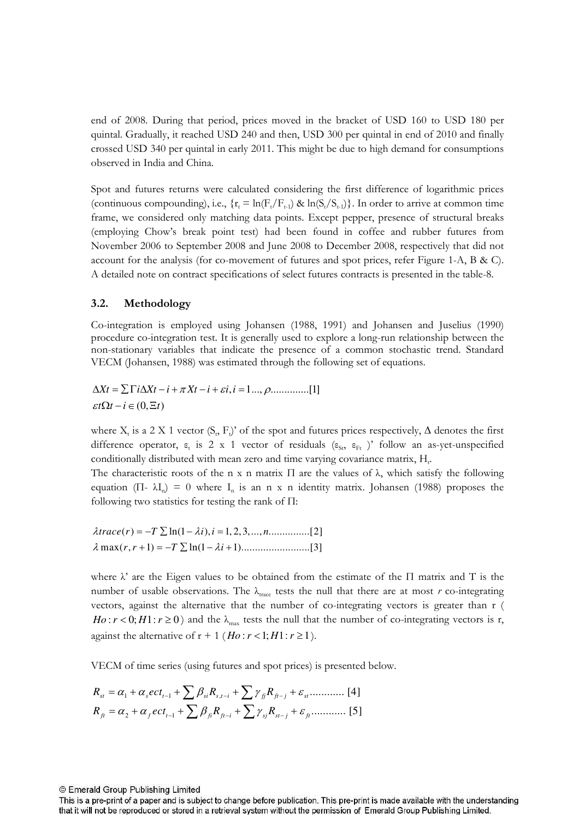end of 2008. During that period, prices moved in the bracket of USD 160 to USD 180 per quintal. Gradually, it reached USD 240 and then, USD 300 per quintal in end of 2010 and finally crossed USD 340 per quintal in early 2011. This might be due to high demand for consumptions observed in India and China.

Spot and futures returns were calculated considering the first difference of logarithmic prices (continuous compounding), i.e.,  $\{r_t = \ln(F_t/F_{t-1}) \& \ln(S_t/S_{t-1})\}\.$  In order to arrive at common time frame, we considered only matching data points. Except pepper, presence of structural breaks (employing Chow's break point test) had been found in coffee and rubber futures from November 2006 to September 2008 and June 2008 to December 2008, respectively that did not account for the analysis (for co-movement of futures and spot prices, refer Figure 1-A, B & C). A detailed note on contract specifications of select futures contracts is presented in the table8.

### **3.2. Methodology**

Cointegration is employed using Johansen (1988, 1991) and Johansen and Juselius (1990) procedure co-integration test. It is generally used to explore a long-run relationship between the nonstationary variables that indicate the presence of a common stochastic trend. Standard VECM (Johansen, 1988) was estimated through the following set of equations.

 $\Delta Xt = \sum \Gamma i \Delta Xt - i + \pi Xt - i + \varepsilon i, i = 1..., \rho............[1]$  $\varepsilon t \Omega t - i \in (0, \Xi t)$ 

where  $X_t$  is a 2 X 1 vector  $(S_t, F_t)$ ' of the spot and futures prices respectively,  $\Delta$  denotes the first difference operator,  $\varepsilon_t$  is 2 x 1 vector of residuals  $(\varepsilon_{\rm{St}}, \varepsilon_{\rm{Ft}})$ ' follow an as-yet-unspecified conditionally distributed with mean zero and time varying covariance matrix,  $H_t$ .

The characteristic roots of the n x n matrix  $\Pi$  are the values of  $\lambda$ , which satisfy the following equation (Π-  $\lambda I_n$ ) = 0 where  $I_n$  is an n x n identity matrix. Johansen (1988) proposes the following two statistics for testing the rank of  $\Pi$ :

$$
\lambda trace(r) = -T \sum \ln(1 - \lambda i), i = 1, 2, 3, ..., n
$$
.................[2]  

$$
\lambda \max(r, r + 1) = -T \sum \ln(1 - \lambda i + 1)
$$
.................[3]

where  $\lambda$ ' are the Eigen values to be obtained from the estimate of the  $\Pi$  matrix and T is the number of usable observations. The  $\lambda_{\text{trace}}$  tests the null that there are at most r co-integrating vectors, against the alternative that the number of co-integrating vectors is greater than r (  $Ho: r < 0; H1: r \ge 0$ ) and the  $\lambda_{\text{max}}$  tests the null that the number of co-integrating vectors is r, against the alternative of  $r + 1$  ( $Ho: r < 1; H1: r \ge 1$ ).

VECM of time series (using futures and spot prices) is presented below.

$$
R_{st} = \alpha_1 + \alpha_s ect_{t-1} + \sum \beta_{st} R_{s,t-i} + \sum \gamma_{jt} R_{ft-j} + \varepsilon_{st} \dots \dots \dots \dots \tag{4}
$$
\n
$$
R_{ft} = \alpha_2 + \alpha_f ect_{t-1} + \sum \beta_{jt} R_{ft-i} + \sum \gamma_{sj} R_{st-j} + \varepsilon_{ft} \dots \dots \dots \dots \tag{5}
$$

This is a pre-print of a paper and is subject to change before publication. This pre-print is made available with the understanding that it will not be reproduced or stored in a retrieval system without the permission of Emerald Group Publishing Limited.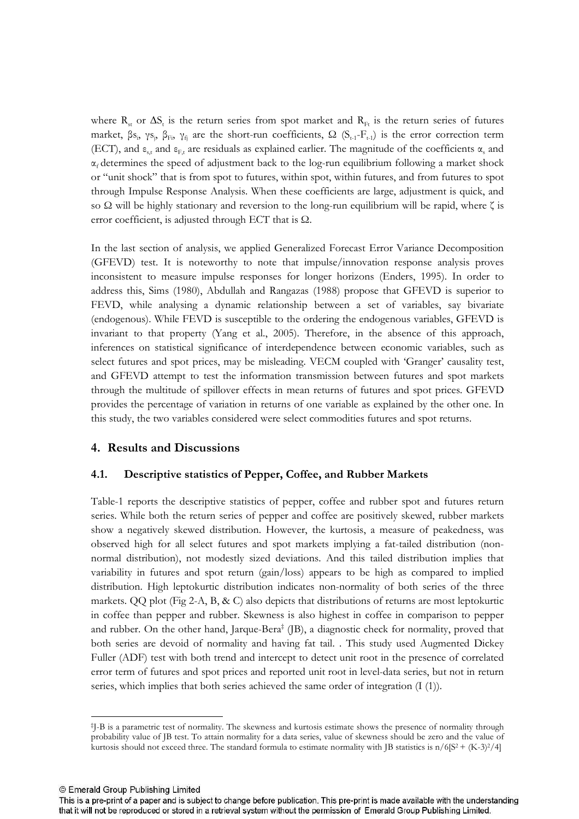where  $R_{st}$  or  $\Delta S_t$  is the return series from spot market and  $R_{Ft}$  is the return series of futures market, βs<sub>i</sub>, γs<sub>j</sub>, β<sub>Fi</sub>, γ<sub>fj</sub> are the short-run coefficients, Ω (S<sub>t-1</sub>-F<sub>t-1</sub>) is the error correction term (ECT), and  $\varepsilon_{s,t}$  and  $\varepsilon_{F,t}$  are residuals as explained earlier. The magnitude of the coefficients  $\alpha_s$  and  $\alpha_f$  determines the speed of adjustment back to the log-run equilibrium following a market shock or "unit shock" that is from spot to futures, within spot, within futures, and from futures to spot through Impulse Response Analysis. When these coefficients are large, adjustment is quick, and so  $\Omega$  will be highly stationary and reversion to the long-run equilibrium will be rapid, where  $\zeta$  is error coefficient, is adjusted through ECT that is  $\Omega$ .

In the last section of analysis, we applied Generalized Forecast Error Variance Decomposition (GFEVD) test. It is noteworthy to note that impulse/innovation response analysis proves inconsistent to measure impulse responses for longer horizons (Enders, 1995). In order to address this, Sims (1980), Abdullah and Rangazas (1988) propose that GFEVD is superior to FEVD, while analysing a dynamic relationship between a set of variables, say bivariate (endogenous). While FEVD is susceptible to the ordering the endogenous variables, GFEVD is invariant to that property (Yang et al., 2005). Therefore, in the absence of this approach, inferences on statistical significance of interdependence between economic variables, such as select futures and spot prices, may be misleading. VECM coupled with 'Granger' causality test, and GFEVD attempt to test the information transmission between futures and spot markets through the multitude of spillover effects in mean returns of futures and spot prices. GFEVD provides the percentage of variation in returns of one variable as explained by the other one. In this study, the two variables considered were select commodities futures and spot returns.

## **4. Results and Discussions**

### **4.1. Descriptive statistics of Pepper, Coffee, and Rubber Markets**

Table1 reports the descriptive statistics of pepper, coffee and rubber spot and futures return series. While both the return series of pepper and coffee are positively skewed, rubber markets show a negatively skewed distribution. However, the kurtosis, a measure of peakedness, was observed high for all select futures and spot markets implying a fat-tailed distribution (nonnormal distribution), not modestly sized deviations. And this tailed distribution implies that variability in futures and spot return (gain/loss) appears to be high as compared to implied distribution. High leptokurtic distribution indicates non-normality of both series of the three markets. QQ plot (Fig 2-A, B, & C) also depicts that distributions of returns are most leptokurtic in coffee than pepper and rubber. Skewness is also highest in coffee in comparison to pepper and rubber. On the other hand, Jarque-Bera<sup>‡</sup> (JB), a diagnostic check for normality, proved that both series are devoid of normality and having fat tail. . This study used Augmented Dickey Fuller (ADF) test with both trend and intercept to detect unit root in the presence of correlated error term of futures and spot prices and reported unit root in leveldata series, but not in return series, which implies that both series achieved the same order of integration (I (1)).

© Emerald Group Publishing Limited

l

<sup>‡</sup> JB is a parametric test of normality. The skewness and kurtosis estimate shows the presence of normality through probability value of JB test. To attain normality for a data series, value of skewness should be zero and the value of kurtosis should not exceed three. The standard formula to estimate normality with JB statistics is  $n/6[S^2 + (K-3)^2/4]$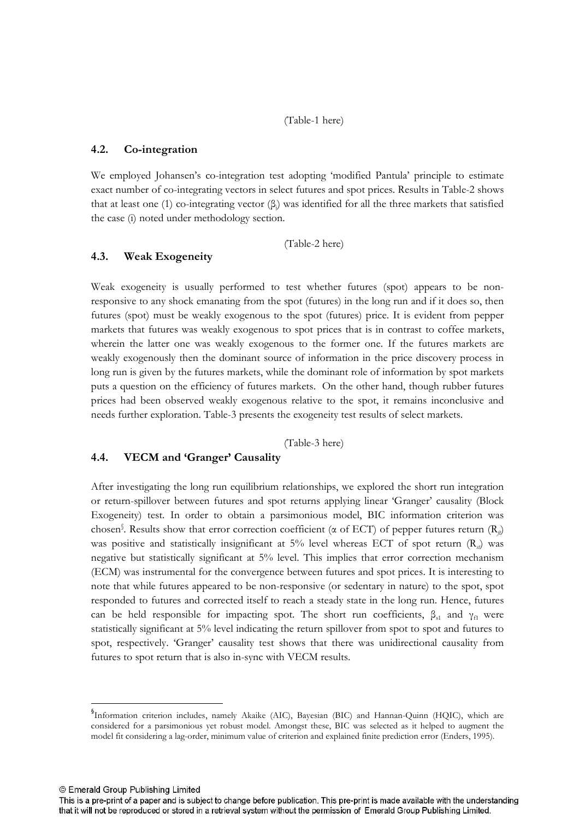(Table-1 here)

### **4.2. Co'integration**

We employed Johansen's co-integration test adopting 'modified Pantula' principle to estimate exact number of co-integrating vectors in select futures and spot prices. Results in Table-2 shows that at least one (1) co-integrating vector  $(\beta)$  was identified for all the three markets that satisfied the case (i) noted under methodology section.

(Table2 here)

### **4.3. Weak Exogeneity**

Weak exogeneity is usually performed to test whether futures (spot) appears to be non responsive to any shock emanating from the spot (futures) in the long run and if it does so, then futures (spot) must be weakly exogenous to the spot (futures) price. It is evident from pepper markets that futures was weakly exogenous to spot prices that is in contrast to coffee markets, wherein the latter one was weakly exogenous to the former one. If the futures markets are weakly exogenously then the dominant source of information in the price discovery process in long run is given by the futures markets, while the dominant role of information by spot markets puts a question on the efficiency of futures markets. On the other hand, though rubber futures prices had been observed weakly exogenous relative to the spot, it remains inconclusive and needs further exploration. Table3 presents the exogeneity test results of select markets.

(Table-3 here)

### **4.4. VECM and 'Granger' Causality**

After investigating the long run equilibrium relationships, we explored the short run integration or returnspillover between futures and spot returns applying linear 'Granger' causality (Block Exogeneity) test. In order to obtain a parsimonious model, BIC information criterion was chosen§. Results show that error correction coefficient ( $\alpha$  of ECT) of pepper futures return ( $R_{\beta}$ ) was positive and statistically insignificant at 5% level whereas ECT of spot return  $(R_{\alpha})$  was negative but statistically significant at 5% level. This implies that error correction mechanism (ECM) was instrumental for the convergence between futures and spot prices. It is interesting to note that while futures appeared to be non-responsive (or sedentary in nature) to the spot, spot responded to futures and corrected itself to reach a steady state in the long run. Hence, futures can be held responsible for impacting spot. The short run coefficients,  $\beta_{s1}$  and  $\gamma_{f1}$  were statistically significant at 5% level indicating the return spillover from spot to spot and futures to spot, respectively. 'Granger' causality test shows that there was unidirectional causality from futures to spot return that is also in-sync with VECM results.

© Emerald Group Publishing Limited

l

<sup>§</sup> Information criterion includes, namely Akaike (AIC), Bayesian (BIC) and HannanQuinn (HQIC), which are considered for a parsimonious yet robust model. Amongst these, BIC was selected as it helped to augment the model fit considering a lag-order, minimum value of criterion and explained finite prediction error (Enders, 1995).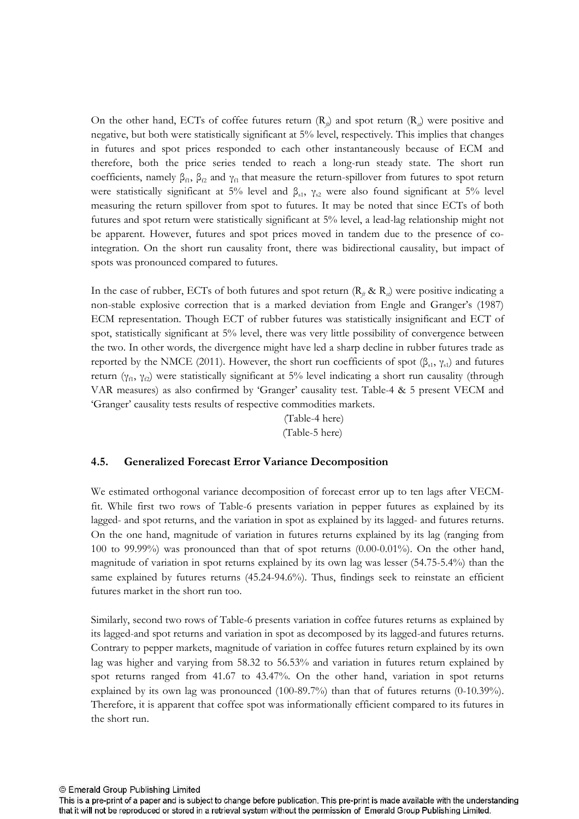On the other hand, ECTs of coffee futures return  $(R_{ij})$  and spot return  $(R_{ij})$  were positive and negative, but both were statistically significant at 5% level, respectively. This implies that changes in futures and spot prices responded to each other instantaneously because of ECM and therefore, both the price series tended to reach a longrun steady state. The short run coefficients, namely  $\beta_{f1}$ ,  $\beta_{f2}$  and  $\gamma_{f1}$  that measure the return-spillover from futures to spot return were statistically significant at 5% level and  $\beta_{s1}$ ,  $\gamma_{s2}$  were also found significant at 5% level measuring the return spillover from spot to futures. It may be noted that since ECTs of both futures and spot return were statistically significant at 5% level, a leadlag relationship might not be apparent. However, futures and spot prices moved in tandem due to the presence of co integration. On the short run causality front, there was bidirectional causality, but impact of spots was pronounced compared to futures.

In the case of rubber, ECTs of both futures and spot return ( $\mathbb{R}_{\theta} \& \mathbb{R}_{\theta}$ ) were positive indicating a nonstable explosive correction that is a marked deviation from Engle and Granger's (1987) ECM representation. Though ECT of rubber futures was statistically insignificant and ECT of spot, statistically significant at 5% level, there was very little possibility of convergence between the two. In other words, the divergence might have led a sharp decline in rubber futures trade as reported by the NMCE (2011). However, the short run coefficients of spot (β<sub>s1</sub>, γ<sub>s1</sub>) and futures return (γ<sub>f1</sub>, γ<sub>f2</sub>) were statistically significant at 5% level indicating a short run causality (through VAR measures) as also confirmed by 'Granger' causality test. Table4 & 5 present VECM and 'Granger' causality tests results of respective commodities markets.

> (Table-4 here) (Table-5 here)

### **4.5. Generalized Forecast Error Variance Decomposition**

We estimated orthogonal variance decomposition of forecast error up to ten lags after VECM fit. While first two rows of Table-6 presents variation in pepper futures as explained by its lagged- and spot returns, and the variation in spot as explained by its lagged- and futures returns. On the one hand, magnitude of variation in futures returns explained by its lag (ranging from 100 to 99.99%) was pronounced than that of spot returns  $(0.00-0.01\%)$ . On the other hand, magnitude of variation in spot returns explained by its own lag was lesser (54.755.4%) than the same explained by futures returns (45.24-94.6%). Thus, findings seek to reinstate an efficient futures market in the short run too.

Similarly, second two rows of Table6 presents variation in coffee futures returns as explained by its lagged-and spot returns and variation in spot as decomposed by its lagged-and futures returns. Contrary to pepper markets, magnitude of variation in coffee futures return explained by its own lag was higher and varying from 58.32 to 56.53% and variation in futures return explained by spot returns ranged from 41.67 to 43.47%. On the other hand, variation in spot returns explained by its own lag was pronounced  $(100-89.7%)$  than that of futures returns  $(0-10.39%)$ . Therefore, it is apparent that coffee spot was informationally efficient compared to its futures in the short run.

This is a pre-print of a paper and is subject to change before publication. This pre-print is made available with the understanding that it will not be reproduced or stored in a retrieval system without the permission of Emerald Group Publishing Limited.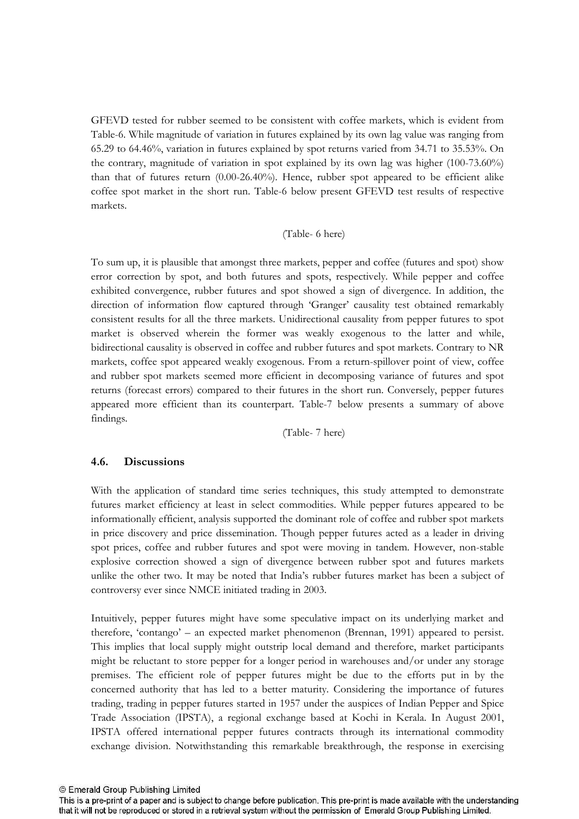GFEVD tested for rubber seemed to be consistent with coffee markets, which is evident from Table-6. While magnitude of variation in futures explained by its own lag value was ranging from 65.29 to 64.46%, variation in futures explained by spot returns varied from 34.71 to 35.53%. On the contrary, magnitude of variation in spot explained by its own lag was higher (100-73.60%) than that of futures return  $(0.00-26.40\%)$ . Hence, rubber spot appeared to be efficient alike coffee spot market in the short run. Table-6 below present GFEVD test results of respective markets.

### (Table- 6 here)

To sum up, it is plausible that amongst three markets, pepper and coffee (futures and spot) show error correction by spot, and both futures and spots, respectively. While pepper and coffee exhibited convergence, rubber futures and spot showed a sign of divergence. In addition, the direction of information flow captured through 'Granger' causality test obtained remarkably consistent results for all the three markets. Unidirectional causality from pepper futures to spot market is observed wherein the former was weakly exogenous to the latter and while, bidirectional causality is observed in coffee and rubber futures and spot markets. Contrary to NR markets, coffee spot appeared weakly exogenous. From a returnspillover point of view, coffee and rubber spot markets seemed more efficient in decomposing variance of futures and spot returns (forecast errors) compared to their futures in the short run. Conversely, pepper futures appeared more efficient than its counterpart. Table7 below presents a summary of above findings.

(Table- 7 here)

## **4.6. Discussions**

With the application of standard time series techniques, this study attempted to demonstrate futures market efficiency at least in select commodities. While pepper futures appeared to be informationally efficient, analysis supported the dominant role of coffee and rubber spot markets in price discovery and price dissemination. Though pepper futures acted as a leader in driving spot prices, coffee and rubber futures and spot were moving in tandem. However, non-stable explosive correction showed a sign of divergence between rubber spot and futures markets unlike the other two. It may be noted that India's rubber futures market has been a subject of controversy ever since NMCE initiated trading in 2003.

Intuitively, pepper futures might have some speculative impact on its underlying market and therefore, 'contango' – an expected market phenomenon (Brennan, 1991) appeared to persist. This implies that local supply might outstrip local demand and therefore, market participants might be reluctant to store pepper for a longer period in warehouses and/or under any storage premises. The efficient role of pepper futures might be due to the efforts put in by the concerned authority that has led to a better maturity. Considering the importance of futures trading, trading in pepper futures started in 1957 under the auspices of Indian Pepper and Spice Trade Association (IPSTA), a regional exchange based at Kochi in Kerala. In August 2001, IPSTA offered international pepper futures contracts through its international commodity exchange division. Notwithstanding this remarkable breakthrough, the response in exercising

© Emerald Group Publishing Limited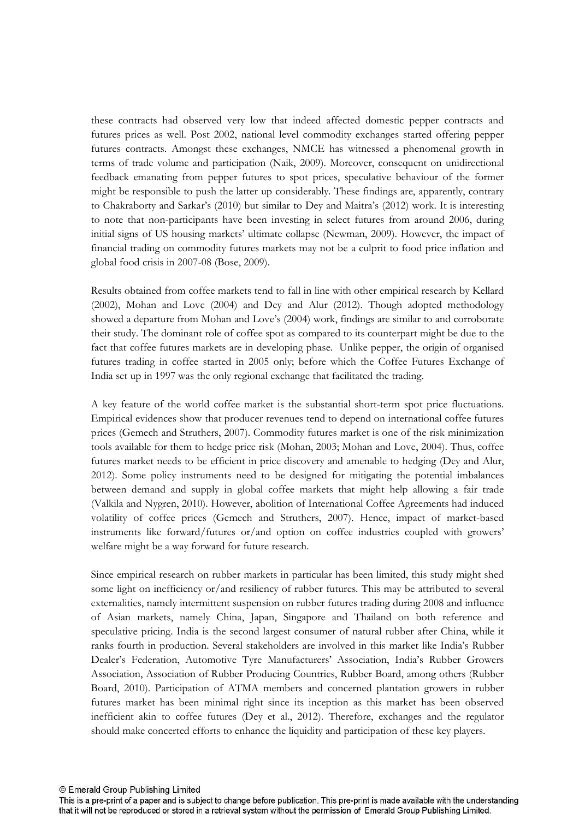these contracts had observed very low that indeed affected domestic pepper contracts and futures prices as well. Post 2002, national level commodity exchanges started offering pepper futures contracts. Amongst these exchanges, NMCE has witnessed a phenomenal growth in terms of trade volume and participation (Naik, 2009). Moreover, consequent on unidirectional feedback emanating from pepper futures to spot prices, speculative behaviour of the former might be responsible to push the latter up considerably. These findings are, apparently, contrary to Chakraborty and Sarkar's (2010) but similar to Dey and Maitra's (2012) work. It is interesting to note that non-participants have been investing in select futures from around 2006, during initial signs of US housing markets' ultimate collapse (Newman, 2009). However, the impact of financial trading on commodity futures markets may not be a culprit to food price inflation and global food crisis in  $2007-08$  (Bose,  $2009$ ).

Results obtained from coffee markets tend to fall in line with other empirical research by Kellard (2002), Mohan and Love (2004) and Dey and Alur (2012). Though adopted methodology showed a departure from Mohan and Love's (2004) work, findings are similar to and corroborate their study. The dominant role of coffee spot as compared to its counterpart might be due to the fact that coffee futures markets are in developing phase. Unlike pepper, the origin of organised futures trading in coffee started in 2005 only; before which the Coffee Futures Exchange of India set up in 1997 was the only regional exchange that facilitated the trading.

A key feature of the world coffee market is the substantial short-term spot price fluctuations. Empirical evidences show that producer revenues tend to depend on international coffee futures prices (Gemech and Struthers, 2007). Commodity futures market is one of the risk minimization tools available for them to hedge price risk (Mohan, 2003; Mohan and Love, 2004). Thus, coffee futures market needs to be efficient in price discovery and amenable to hedging (Dey and Alur, 2012). Some policy instruments need to be designed for mitigating the potential imbalances between demand and supply in global coffee markets that might help allowing a fair trade (Valkila and Nygren, 2010). However, abolition of International Coffee Agreements had induced volatility of coffee prices (Gemech and Struthers, 2007). Hence, impact of market-based instruments like forward/futures or/and option on coffee industries coupled with growers' welfare might be a way forward for future research.

Since empirical research on rubber markets in particular has been limited, this study might shed some light on inefficiency or/and resiliency of rubber futures. This may be attributed to several externalities, namely intermittent suspension on rubber futures trading during 2008 and influence of Asian markets, namely China, Japan, Singapore and Thailand on both reference and speculative pricing. India is the second largest consumer of natural rubber after China, while it ranks fourth in production. Several stakeholders are involved in this market like India's Rubber Dealer's Federation, Automotive Tyre Manufacturers' Association, India's Rubber Growers Association, Association of Rubber Producing Countries, Rubber Board, among others (Rubber Board, 2010). Participation of ATMA members and concerned plantation growers in rubber futures market has been minimal right since its inception as this market has been observed inefficient akin to coffee futures (Dey et al., 2012). Therefore, exchanges and the regulator should make concerted efforts to enhance the liquidity and participation of these key players.

This is a pre-print of a paper and is subject to change before publication. This pre-print is made available with the understanding that it will not be reproduced or stored in a retrieval system without the permission of Emerald Group Publishing Limited.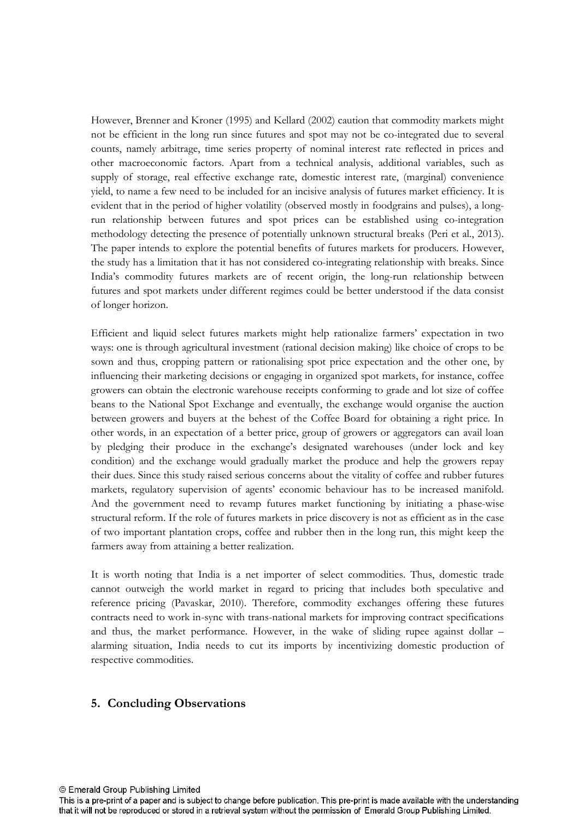However, Brenner and Kroner (1995) and Kellard (2002) caution that commodity markets might not be efficient in the long run since futures and spot may not be co-integrated due to several counts, namely arbitrage, time series property of nominal interest rate reflected in prices and other macroeconomic factors. Apart from a technical analysis, additional variables, such as supply of storage, real effective exchange rate, domestic interest rate, (marginal) convenience yield, to name a few need to be included for an incisive analysis of futures market efficiency. It is evident that in the period of higher volatility (observed mostly in foodgrains and pulses), a long run relationship between futures and spot prices can be established using co-integration methodology detecting the presence of potentially unknown structural breaks (Peri et al., 2013). The paper intends to explore the potential benefits of futures markets for producers. However, the study has a limitation that it has not considered co-integrating relationship with breaks. Since India's commodity futures markets are of recent origin, the long-run relationship between futures and spot markets under different regimes could be better understood if the data consist of longer horizon.

Efficient and liquid select futures markets might help rationalize farmers' expectation in two ways: one is through agricultural investment (rational decision making) like choice of crops to be sown and thus, cropping pattern or rationalising spot price expectation and the other one, by influencing their marketing decisions or engaging in organized spot markets, for instance, coffee growers can obtain the electronic warehouse receipts conforming to grade and lot size of coffee beans to the National Spot Exchange and eventually, the exchange would organise the auction between growers and buyers at the behest of the Coffee Board for obtaining a right price. In other words, in an expectation of a better price, group of growers or aggregators can avail loan by pledging their produce in the exchange's designated warehouses (under lock and key condition) and the exchange would gradually market the produce and help the growers repay their dues. Since this study raised serious concerns about the vitality of coffee and rubber futures markets, regulatory supervision of agents' economic behaviour has to be increased manifold. And the government need to revamp futures market functioning by initiating a phase-wise structural reform. If the role of futures markets in price discovery is not as efficient as in the case of two important plantation crops, coffee and rubber then in the long run, this might keep the farmers away from attaining a better realization.

It is worth noting that India is a net importer of select commodities. Thus, domestic trade cannot outweigh the world market in regard to pricing that includes both speculative and reference pricing (Pavaskar, 2010). Therefore, commodity exchanges offering these futures contracts need to work in-sync with trans-national markets for improving contract specifications and thus, the market performance. However, in the wake of sliding rupee against dollar – alarming situation, India needs to cut its imports by incentivizing domestic production of respective commodities.

### **5. Concluding Observations**

© Emerald Group Publishing Limited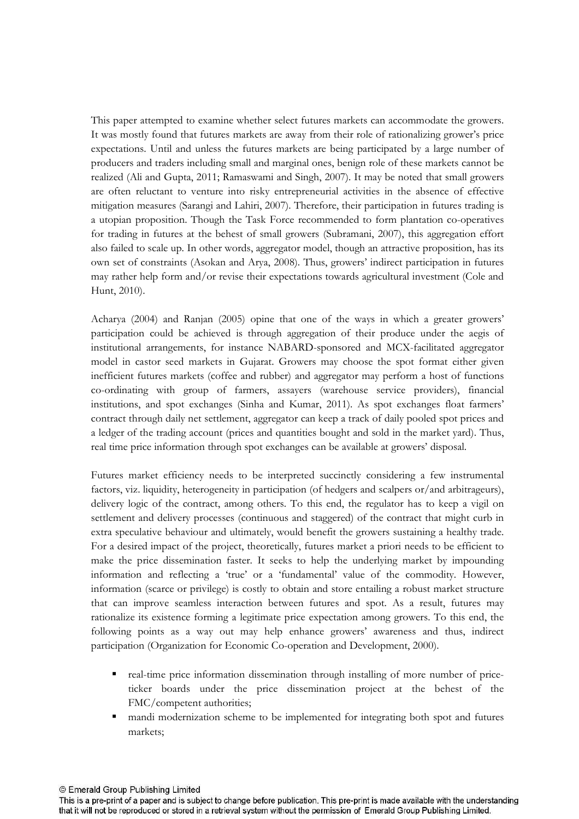This paper attempted to examine whether select futures markets can accommodate the growers. It was mostly found that futures markets are away from their role of rationalizing grower's price expectations. Until and unless the futures markets are being participated by a large number of producers and traders including small and marginal ones, benign role of these markets cannot be realized (Ali and Gupta, 2011; Ramaswami and Singh, 2007). It may be noted that small growers are often reluctant to venture into risky entrepreneurial activities in the absence of effective mitigation measures (Sarangi and Lahiri, 2007). Therefore, their participation in futures trading is a utopian proposition. Though the Task Force recommended to form plantation co-operatives for trading in futures at the behest of small growers (Subramani, 2007), this aggregation effort also failed to scale up. In other words, aggregator model, though an attractive proposition, has its own set of constraints (Asokan and Arya, 2008). Thus, growers' indirect participation in futures may rather help form and/or revise their expectations towards agricultural investment (Cole and Hunt, 2010).

Acharya (2004) and Ranjan (2005) opine that one of the ways in which a greater growers' participation could be achieved is through aggregation of their produce under the aegis of institutional arrangements, for instance NABARD-sponsored and MCX-facilitated aggregator model in castor seed markets in Gujarat. Growers may choose the spot format either given inefficient futures markets (coffee and rubber) and aggregator may perform a host of functions coordinating with group of farmers, assayers (warehouse service providers), financial institutions, and spot exchanges (Sinha and Kumar, 2011). As spot exchanges float farmers' contract through daily net settlement, aggregator can keep a track of daily pooled spot prices and a ledger of the trading account (prices and quantities bought and sold in the market yard). Thus, real time price information through spot exchanges can be available at growers' disposal.

Futures market efficiency needs to be interpreted succinctly considering a few instrumental factors, viz. liquidity, heterogeneity in participation (of hedgers and scalpers or/and arbitrageurs), delivery logic of the contract, among others. To this end, the regulator has to keep a vigil on settlement and delivery processes (continuous and staggered) of the contract that might curb in extra speculative behaviour and ultimately, would benefit the growers sustaining a healthy trade. For a desired impact of the project, theoretically, futures market a priori needs to be efficient to make the price dissemination faster. It seeks to help the underlying market by impounding information and reflecting a 'true' or a 'fundamental' value of the commodity. However, information (scarce or privilege) is costly to obtain and store entailing a robust market structure that can improve seamless interaction between futures and spot. As a result, futures may rationalize its existence forming a legitimate price expectation among growers. To this end, the following points as a way out may help enhance growers' awareness and thus, indirect participation (Organization for Economic Co-operation and Development, 2000).

- real-time price information dissemination through installing of more number of priceticker boards under the price dissemination project at the behest of the FMC/competent authorities;
- mandi modernization scheme to be implemented for integrating both spot and futures markets;

© Emerald Group Publishing Limited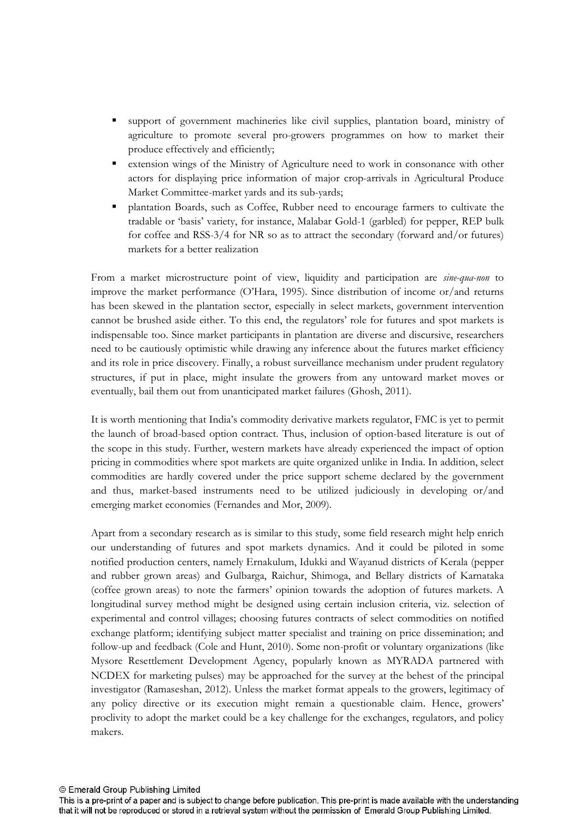- support of government machineries like civil supplies, plantation board, ministry of agriculture to promote several pro-growers programmes on how to market their produce effectively and efficiently;
- extension wings of the Ministry of Agriculture need to work in consonance with other actors for displaying price information of major croparrivals in Agricultural Produce Market Committee-market yards and its sub-yards;
- plantation Boards, such as Coffee, Rubber need to encourage farmers to cultivate the tradable or 'basis' variety, for instance, Malabar Gold-1 (garbled) for pepper, REP bulk for coffee and RSS-3/4 for NR so as to attract the secondary (forward and/or futures) markets for a better realization

From a market microstructure point of view, liquidity and participation are *sine-qua-non* to improve the market performance (O'Hara, 1995). Since distribution of income or/and returns has been skewed in the plantation sector, especially in select markets, government intervention cannot be brushed aside either. To this end, the regulators' role for futures and spot markets is indispensable too. Since market participants in plantation are diverse and discursive, researchers need to be cautiously optimistic while drawing any inference about the futures market efficiency and its role in price discovery. Finally, a robust surveillance mechanism under prudent regulatory structures, if put in place, might insulate the growers from any untoward market moves or eventually, bail them out from unanticipated market failures (Ghosh, 2011).

It is worth mentioning that India's commodity derivative markets regulator, FMC is yet to permit the launch of broad-based option contract. Thus, inclusion of option-based literature is out of the scope in this study. Further, western markets have already experienced the impact of option pricing in commodities where spot markets are quite organized unlike in India. In addition, select commodities are hardly covered under the price support scheme declared by the government and thus, market-based instruments need to be utilized judiciously in developing or/and emerging market economies (Fernandes and Mor, 2009).

Apart from a secondary research as is similar to this study, some field research might help enrich our understanding of futures and spot markets dynamics. And it could be piloted in some notified production centers, namely Ernakulum, Idukki and Wayanud districts of Kerala (pepper and rubber grown areas) and Gulbarga, Raichur, Shimoga, and Bellary districts of Karnataka (coffee grown areas) to note the farmers' opinion towards the adoption of futures markets. A longitudinal survey method might be designed using certain inclusion criteria, viz. selection of experimental and control villages; choosing futures contracts of select commodities on notified exchange platform; identifying subject matter specialist and training on price dissemination; and follow-up and feedback (Cole and Hunt, 2010). Some non-profit or voluntary organizations (like Mysore Resettlement Development Agency, popularly known as MYRADA partnered with NCDEX for marketing pulses) may be approached for the survey at the behest of the principal investigator (Ramaseshan, 2012). Unless the market format appeals to the growers, legitimacy of any policy directive or its execution might remain a questionable claim. Hence, growers' proclivity to adopt the market could be a key challenge for the exchanges, regulators, and policy makers.

This is a pre-print of a paper and is subject to change before publication. This pre-print is made available with the understanding that it will not be reproduced or stored in a retrieval system without the permission of Emerald Group Publishing Limited.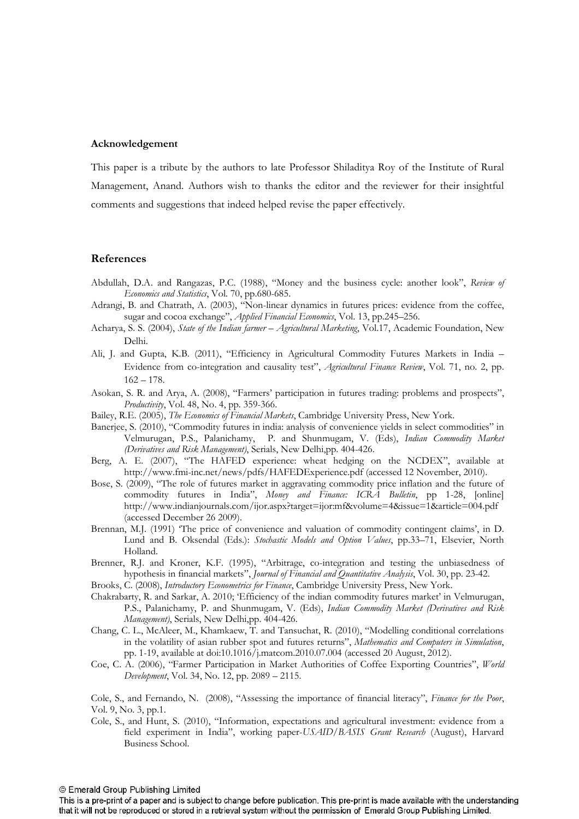### **Acknowledgement**

This paper is a tribute by the authors to late Professor Shiladitya Roy of the Institute of Rural Management, Anand. Authors wish to thanks the editor and the reviewer for their insightful comments and suggestions that indeed helped revise the paper effectively.

#### **References**

- Abdullah, D.A. and Rangazas, P.C. (1988), "Money and the business cycle: another look", *Review of Economics and Statistics*, Vol. 70, pp.680-685.
- Adrangi, B. and Chatrath, A. (2003), "Non-linear dynamics in futures prices: evidence from the coffee, sugar and cocoa exchange", *Applied Financial Economics*, Vol. 13, pp.245-256.
- Acharya, S. S. (2004), *State of the Indian farmer Agricultural Marketing*, Vol.17, Academic Foundation, New Delhi.
- Ali, J. and Gupta, K.B. (2011), "Efficiency in Agricultural Commodity Futures Markets in India Evidence from co-integration and causality test", *Agricultural Finance Review*, Vol. 71, no. 2, pp.  $162 - 178.$
- Asokan, S. R. and Arya, A. (2008), "Farmers' participation in futures trading: problems and prospects", Productivity, Vol. 48, No. 4, pp. 359-366.
- Bailey, R.E. (2005), *The Economics of Financial Markets*, Cambridge University Press, New York.
- Banerjee, S. (2010), "Commodity futures in india: analysis of convenience yields in select commodities" in Velmurugan, P.S., Palanichamy, P. and Shunmugam, V. (Eds), Indian Commodity Market *(Derivatives and Risk Management)*, Serials, New Delhi,pp. 404-426.
- Berg, A. E. (2007), "The HAFED experience: wheat hedging on the NCDEX", available at http://www.fmi-inc.net/news/pdfs/HAFEDExperience.pdf (accessed 12 November, 2010).
- Bose, S. (2009), "The role of futures market in aggravating commodity price inflation and the future of commodity futures in India", Money and Finance: ICRA Bulletin, pp 1-28, [online] http://www.indianjournals.com/ijor.aspx?target=ijor:mf&volume=4&issue=1&article=004.pdf (accessed December 26 2009).
- Brennan, M.J. (1991) 'The price of convenience and valuation of commodity contingent claims', in D. Lund and B. Oksendal (Eds.): *Stochastic Models and Option Values*, pp.33-71, Elsevier, North Holland.
- Brenner, R.J. and Kroner, K.F. (1995), "Arbitrage, co-integration and testing the unbiasedness of hypothesis in financial markets", *Journal of Financial and Quantitative Analysis*, Vol. 30, pp. 23-42.
- Brooks, C. (2008), *Introductory Econometrics for Finance*, Cambridge University Press, New York.
- Chakrabarty, R. and Sarkar, A. 2010; 'Efficiency of the indian commodity futures market' in Velmurugan, P.S., Palanichamy, P. and Shunmugam, V. (Eds), Indian Commodity Market (Derivatives and Risk *Management*), Serials, New Delhi,pp. 404-426.
- Chang, C. L., McAleer, M., Khamkaew, T. and Tansuchat, R. (2010), "Modelling conditional correlations in the volatility of asian rubber spot and futures returns", Mathematics and Computers in Simulation, pp. 119, available at doi:10.1016/j.matcom.2010.07.004 (accessed 20 August, 2012).
- Coe, C. A. (2006), "Farmer Participation in Market Authorities of Coffee Exporting Countries", *World Development*, Vol. 34, No. 12, pp. 2089 – 2115.

Cole, S., and Fernando, N. (2008), "Assessing the importance of financial literacy", *Finance for the Poor*, Vol. 9, No. 3, pp.1.

Cole, S., and Hunt, S. (2010), "Information, expectations and agricultural investment: evidence from a field experiment in India", working paper-USAID/BASIS Grant Research (August), Harvard Business School.

<sup>©</sup> Emerald Group Publishing Limited

This is a pre-print of a paper and is subject to change before publication. This pre-print is made available with the understanding that it will not be reproduced or stored in a retrieval system without the permission of Emerald Group Publishing Limited.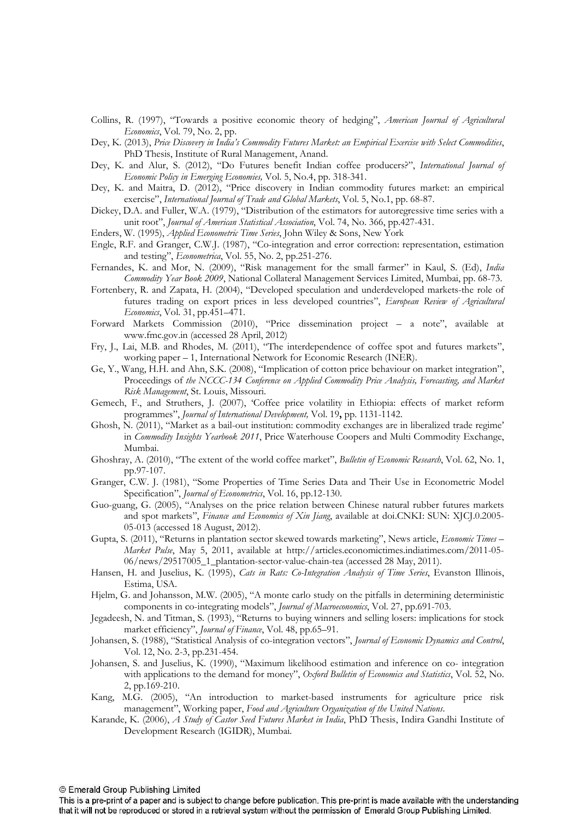- Collins, R. (1997), "Towards a positive economic theory of hedging", *American Journal of Agricultural Economics*, Vol. 79, No. 2, pp.
- Dey, K. (2013), Price Discovery in India's Commodity Futures Market: an Empirical Exercise with Select Commodities, PhD Thesis, Institute of Rural Management, Anand.
- Dey, K. and Alur, S. (2012), "Do Futures benefit Indian coffee producers?", International Journal of *Economic Policy in Emerging Economies, Vol.* 5, No.4, pp. 318-341.
- Dey, K. and Maitra, D. (2012), "Price discovery in Indian commodity futures market: an empirical exercise", International Journal of Trade and Global Markets, Vol. 5, No.1, pp. 68-87.
- Dickey, D.A. and Fuller, W.A. (1979), "Distribution of the estimators for autoregressive time series with a unit root", Journal of American Statistical Association, Vol. 74, No. 366, pp.427-431.
- Enders, W. (1995), *Applied Econometric Time Series*, John Wiley & Sons, New York
- Engle, R.F. and Granger, C.W.J. (1987), "Co-integration and error correction: representation, estimation and testing", *Econometrica*, Vol. 55, No. 2, pp.251-276.
- Fernandes, K. and Mor, N. (2009), "Risk management for the small farmer" in Kaul, S. (Ed), India Commodity Year Book 2009, National Collateral Management Services Limited, Mumbai, pp. 68-73.
- Fortenbery, R. and Zapata, H. (2004), "Developed speculation and underdeveloped markets-the role of futures trading on export prices in less developed countries", *European Review of Agricultural* Economics, Vol. 31, pp.451-471.
- Forward Markets Commission (2010), "Price dissemination project a note", available at www.fmc.gov.in (accessed 28 April, 2012)
- Fry, J., Lai, M.B. and Rhodes, M. (2011), "The interdependence of coffee spot and futures markets", working paper – 1, International Network for Economic Research (INER).
- Ge, Y., Wang, H.H. and Ahn, S.K. (2008), "Implication of cotton price behaviour on market integration", Proceedings of the NCCC-134 Conference on Applied Commodity Price Analysis, Forecasting, and Market Risk Management, St. Louis, Missouri.
- Gemech, F., and Struthers, J. (2007), 'Coffee price volatility in Ethiopia: effects of market reform programmes", Journal of International Development, Vol. 19, pp. 1131-1142.
- Ghosh, N. (2011), "Market as a bailout institution: commodity exchanges are in liberalized trade regime' in *Commodity Insights Yearbook 2011*, Price Waterhouse Coopers and Multi Commodity Exchange, Mumbai.
- Ghoshray, A. (2010), "The extent of the world coffee market", *Bulletin of Economic Research*, Vol. 62, No. 1, pp.97-107.
- Granger, C.W. J. (1981), "Some Properties of Time Series Data and Their Use in Econometric Model Specification", *Journal of Econometrics*, Vol. 16, pp.12-130.
- Guo-guang, G. (2005), "Analyses on the price relation between Chinese natural rubber futures markets and spot markets", Finance and Economics of Xin Jiang, available at doi.CNKI: SUN: XJCJ.0.2005-05-013 (accessed 18 August, 2012).
- Gupta, S. (2011), "Returns in plantation sector skewed towards marketing", News article, *Economic Times* -*Market Pulse*, May 5, 2011, available at http://articles.economictimes.indiatimes.com/2011-05-06/news/29517005\_1\_plantation-sector-value-chain-tea (accessed 28 May, 2011).
- Hansen, H. and Juselius, K. (1995), *Cats in Rats: Co-Integration Analysis of Time Series*, Evanston Illinois, Estima, USA.
- Hjelm, G. and Johansson, M.W. (2005), "A monte carlo study on the pitfalls in determining deterministic components in co-integrating models", *Journal of Macroeconomics*, Vol. 27, pp.691-703.
- Jegadeesh, N. and Titman, S. (1993), "Returns to buying winners and selling losers: implications for stock market efficiency", *Journal of Finance*, Vol. 48, pp.65-91.
- Johansen, S. (1988), "Statistical Analysis of co-integration vectors", *Journal of Economic Dynamics and Control*, Vol. 12, No. 2-3, pp. 231-454.
- Johansen, S. and Juselius, K. (1990), "Maximum likelihood estimation and inference on co- integration with applications to the demand for money", Oxford Bulletin of Economics and Statistics, Vol. 52, No. 2, pp.169-210.
- Kang, M.G. (2005), "An introduction to market-based instruments for agriculture price risk management", Working paper, Food and Agriculture Organization of the United Nations.
- Karande, K. (2006), *A Study of Castor Seed Futures Market in India*, PhD Thesis, Indira Gandhi Institute of Development Research (IGIDR), Mumbai.

This is a pre-print of a paper and is subject to change before publication. This pre-print is made available with the understanding that it will not be reproduced or stored in a retrieval system without the permission of Emerald Group Publishing Limited.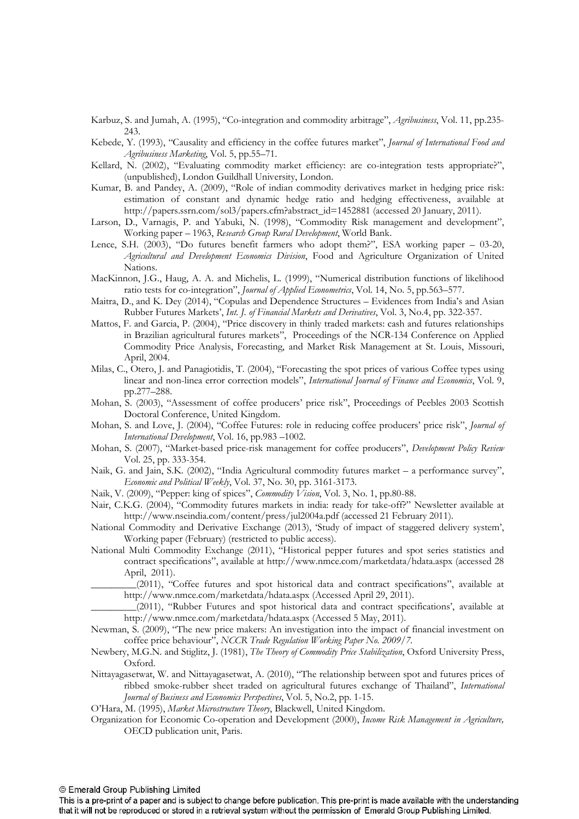Karbuz, S. and Jumah, A. (1995), "Co-integration and commodity arbitrage", *Agribusiness*, Vol. 11, pp.235-243.

- Kebede, Y. (1993), "Causality and efficiency in the coffee futures market", Journal of International Food and Agribusiness Marketing, Vol. 5, pp.55–71.
- Kellard, N. (2002), "Evaluating commodity market efficiency: are co-integration tests appropriate?", (unpublished), London Guildhall University, London.
- Kumar, B. and Pandey, A. (2009), "Role of indian commodity derivatives market in hedging price risk: estimation of constant and dynamic hedge ratio and hedging effectiveness, available at http://papers.ssrn.com/sol3/papers.cfm?abstract\_id=1452881 (accessed 20 January, 2011).
- Larson, D., Varnagis, P. and Yabuki, N. (1998), "Commodity Risk management and development", Working paper - 1963, Research Group Rural Development, World Bank.
- Lence, S.H. (2003), "Do futures benefit farmers who adopt them?", ESA working paper  $-$  03-20, Agricultural and Development Economics Division, Food and Agriculture Organization of United Nations.
- MacKinnon, J.G., Haug, A. A. and Michelis, L. (1999), "Numerical distribution functions of likelihood ratio tests for co-integration", *Journal of Applied Econometrics*, Vol. 14, No. 5, pp.563-577.
- Maitra, D., and K. Dey (2014), "Copulas and Dependence Structures Evidences from India's and Asian Rubber Futures Markets', Int. J. of Financial Markets and Derivatives, Vol. 3, No.4, pp. 322-357.
- Mattos, F. and Garcia, P. (2004), "Price discovery in thinly traded markets: cash and futures relationships in Brazilian agricultural futures markets", Proceedings of the NCR134 Conference on Applied Commodity Price Analysis, Forecasting, and Market Risk Management at St. Louis, Missouri, April, 2004.
- Milas, C., Otero, J. and Panagiotidis, T. (2004), "Forecasting the spot prices of various Coffee types using linear and non-linea error correction models", *International Journal of Finance and Economics*, Vol. 9, pp.277–288.
- Mohan, S. (2003), "Assessment of coffee producers' price risk", Proceedings of Peebles 2003 Scottish Doctoral Conference, United Kingdom.
- Mohan, S. and Love, J. (2004), "Coffee Futures: role in reducing coffee producers' price risk", *Journal of* International Development, Vol. 16, pp.983 -1002.
- Mohan, S. (2007), "Market-based price-risk management for coffee producers", *Development Policy Review* Vol. 25, pp. 333-354.
- Naik, G. and Jain, S.K. (2002), "India Agricultural commodity futures market a performance survey", *Economic and Political Weekly, Vol. 37, No. 30, pp. 3161-3173.*
- Naik, V. (2009), "Pepper: king of spices", *Commodity Vision*, Vol. 3, No. 1, pp.80-88.
- Nair, C.K.G. (2004), "Commodity futures markets in india: ready for take-off?" Newsletter available at http://www.nseindia.com/content/press/jul2004a.pdf (accessed 21 February 2011).
- National Commodity and Derivative Exchange (2013), 'Study of impact of staggered delivery system', Working paper (February) (restricted to public access).
- National Multi Commodity Exchange (2011), "Historical pepper futures and spot series statistics and contract specifications", available at http://www.nmce.com/marketdata/hdata.aspx (accessed 28 April, 2011).
- \_\_\_\_\_\_\_\_\_(2011), "Coffee futures and spot historical data and contract specifications", available at http://www.nmce.com/marketdata/hdata.aspx (Accessed April 29, 2011).
- \_\_\_\_\_\_\_\_\_(2011), "Rubber Futures and spot historical data and contract specifications', available at http://www.nmce.com/marketdata/hdata.aspx (Accessed 5 May, 2011).
- Newman, S. (2009), "The new price makers: An investigation into the impact of financial investment on coffee price behaviour", *NCCR Trade Regulation Working Paper No. 2009/7.*
- Newbery, M.G.N. and Stiglitz, J. (1981), *The Theory of Commodity Price Stabilization*, Oxford University Press, Oxford.
- Nittayagasetwat, W. and Nittayagasetwat, A. (2010), "The relationship between spot and futures prices of ribbed smoke-rubber sheet traded on agricultural futures exchange of Thailand", International Journal of Business and Economics Perspectives, Vol. 5, No.2, pp. 1-15.
- O'Hara, M. (1995), Market Microstructure Theory, Blackwell, United Kingdom.
- Organization for Economic Co-operation and Development (2000), Income Risk Management in Agriculture, OECD publication unit, Paris.

This is a pre-print of a paper and is subject to change before publication. This pre-print is made available with the understanding that it will not be reproduced or stored in a retrieval system without the permission of Emerald Group Publishing Limited.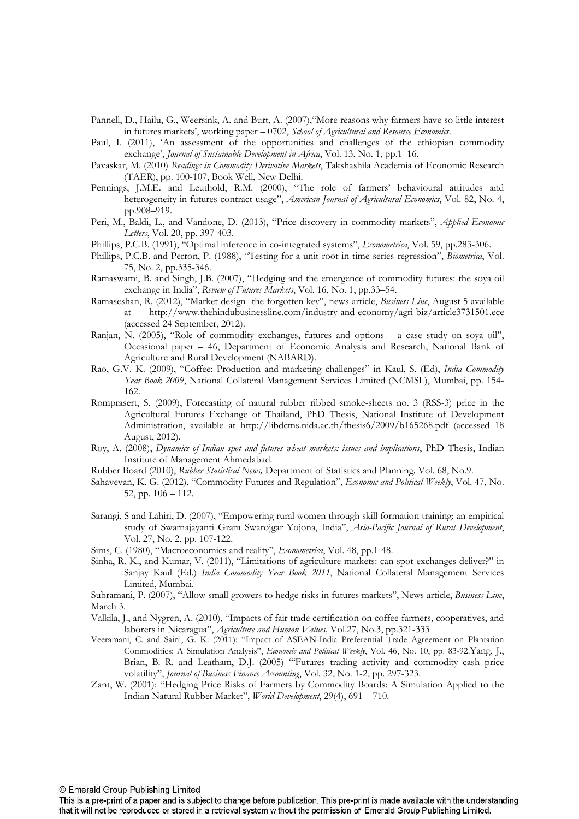- Pannell, D., Hailu, G., Weersink, A. and Burt, A. (2007),"More reasons why farmers have so little interest in futures markets', working paper - 0702, School of Agricultural and Resource Economics.
- Paul, I. (2011), 'An assessment of the opportunities and challenges of the ethiopian commodity exchange', Journal of Sustainable Development in Africa, Vol. 13, No. 1, pp.1–16.
- Pavaskar, M. (2010) Readings in Commodity Derivative Markets, Takshashila Academia of Economic Research (TAER), pp. 100-107, Book Well, New Delhi.
- Pennings, J.M.E. and Leuthold, R.M. (2000), "The role of farmers' behavioural attitudes and heterogeneity in futures contract usage", *American Journal of Agricultural Economics*, Vol. 82, No. 4, pp.908–919.
- Peri, M., Baldi, L., and Vandone, D. (2013), "Price discovery in commodity markets", *Applied Economic* Letters, Vol. 20, pp. 397-403.
- Phillips, P.C.B. (1991), "Optimal inference in co-integrated systems", *Econometrica*, Vol. 59, pp.283-306.
- Phillips, P.C.B. and Perron, P. (1988), "Testing for a unit root in time series regression", *Biometrica*, Vol. 75, No. 2, pp.335-346.
- Ramaswami, B. and Singh, J.B. (2007), "Hedging and the emergence of commodity futures: the soya oil exchange in India", Review of Futures Markets, Vol. 16, No. 1, pp.33-54.
- Ramaseshan, R. (2012), "Market design- the forgotten key", news article, *Business Line*, August 5 available at http://www.thehindubusinessline.com/industryandeconomy/agribiz/article3731501.ece (accessed 24 September, 2012).
- Ranjan, N. (2005), "Role of commodity exchanges, futures and options a case study on soya oil", Occasional paper – 46, Department of Economic Analysis and Research, National Bank of Agriculture and Rural Development (NABARD).
- Rao, G.V. K. (2009), "Coffee: Production and marketing challenges" in Kaul, S. (Ed), India Commodity Year Book 2009, National Collateral Management Services Limited (NCMSL), Mumbai, pp. 154-162.
- Romprasert, S. (2009), Forecasting of natural rubber ribbed smoke-sheets no. 3 (RSS-3) price in the Agricultural Futures Exchange of Thailand, PhD Thesis, National Institute of Development Administration, available at http://libdcms.nida.ac.th/thesis6/2009/b165268.pdf (accessed 18 August, 2012).
- Roy, A. (2008), *Dynamics of Indian spot and futures wheat markets: issues and implications*, PhD Thesis, Indian Institute of Management Ahmedabad.
- Rubber Board (2010), Rubber Statistical News, Department of Statistics and Planning, Vol. 68, No.9.
- Sahavevan, K. G. (2012), "Commodity Futures and Regulation", *Economic and Political Weekly*, Vol. 47, No. 52, pp. 106 – 112.
- Sarangi, S and Lahiri, D. (2007), "Empowering rural women through skill formation training: an empirical study of Swarnajayanti Gram Swarojgar Yojona, India", Asia-Pacific Journal of Rural Development, Vol. 27, No. 2, pp. 107-122.

Sims, C. (1980), "Macroeconomics and reality", *Econometrica*, Vol. 48, pp.1-48.

Sinha, R. K., and Kumar, V. (2011), "Limitations of agriculture markets: can spot exchanges deliver?" in Sanjay Kaul (Ed.) India Commodity Year Book 2011, National Collateral Management Services Limited, Mumbai.

Subramani, P. (2007), "Allow small growers to hedge risks in futures markets", News article, *Business Line*, March 3.

- Valkila, J., and Nygren, A. (2010), "Impacts of fair trade certification on coffee farmers, cooperatives, and laborers in Nicaragua", *Agriculture and Human Values*, Vol.27, No.3, pp.321-333
- Veeramani, C. and Saini, G. K. (2011): "Impact of ASEAN-India Preferential Trade Agreement on Plantation Commodities: A Simulation Analysis", *Economic and Political Weekly*, Vol. 46, No. 10, pp. 83-92.Yang, J., Brian, B. R. and Leatham, D.J. (2005) "'Futures trading activity and commodity cash price volatility", Journal of Business Finance Accounting, Vol. 32, No. 1-2, pp. 297-323.
- Zant, W. (2001): "Hedging Price Risks of Farmers by Commodity Boards: A Simulation Applied to the Indian Natural Rubber Market", *World Development*, 29(4), 691 – 710.

© Emerald Group Publishing Limited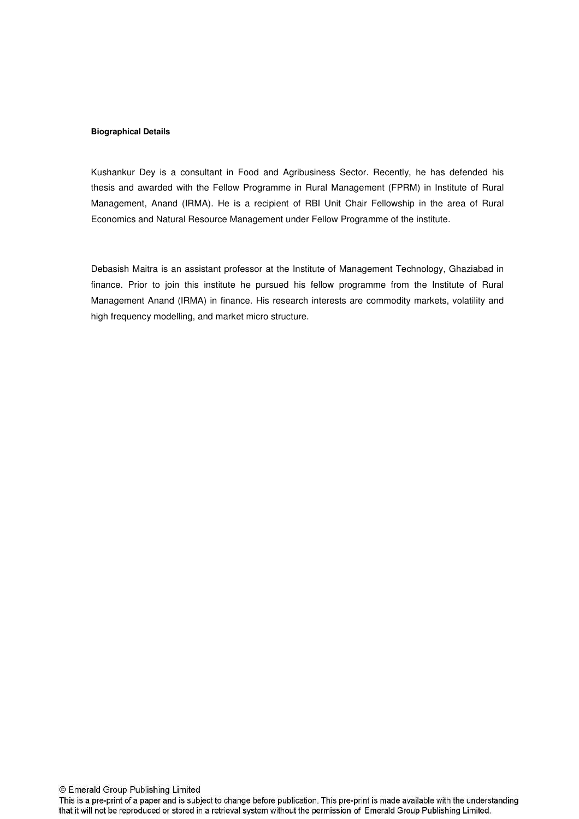#### **Biographical Details**

Kushankur Dey is a consultant in Food and Agribusiness Sector. Recently, he has defended his thesis and awarded with the Fellow Programme in Rural Management (FPRM) in Institute of Rural Management, Anand (IRMA). He is a recipient of RBI Unit Chair Fellowship in the area of Rural Economics and Natural Resource Management under Fellow Programme of the institute.

Debasish Maitra is an assistant professor at the Institute of Management Technology, Ghaziabad in finance. Prior to join this institute he pursued his fellow programme from the Institute of Rural Management Anand (IRMA) in finance. His research interests are commodity markets, volatility and high frequency modelling, and market micro structure.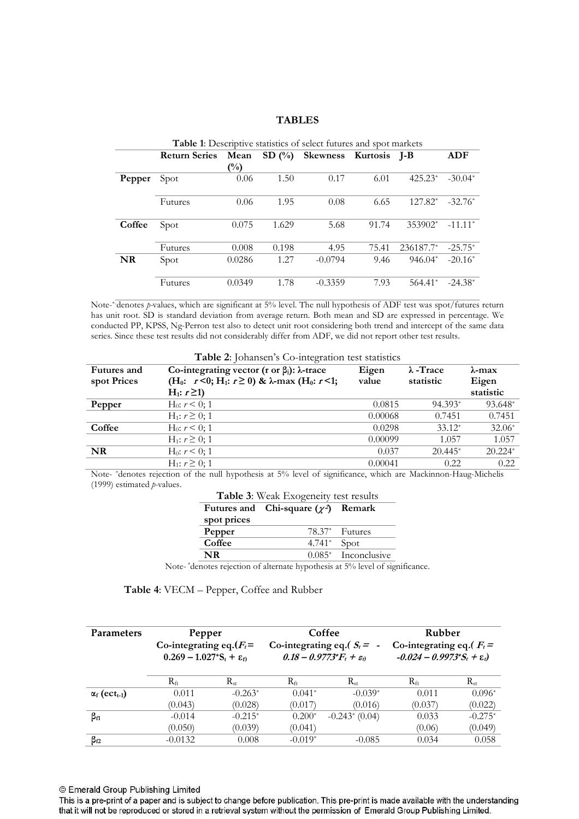### **TABLES**

|        | Table 1: Descriptive statistics of select futures and spot markets |                |           |                   |       |           |           |  |
|--------|--------------------------------------------------------------------|----------------|-----------|-------------------|-------|-----------|-----------|--|
|        | <b>Return Series</b>                                               | Mean           | SD $(\%)$ | Skewness Kurtosis |       | $I-B$     | ADF       |  |
|        |                                                                    | $\binom{0}{0}$ |           |                   |       |           |           |  |
| Pepper | Spot                                                               | 0.06           | 1.50      | 0.17              | 6.01  | $425.23*$ | $-30.04*$ |  |
|        |                                                                    |                |           |                   |       |           |           |  |
|        | Futures                                                            | 0.06           | 1.95      | 0.08              | 6.65  | $127.82*$ | $-32.76*$ |  |
|        |                                                                    |                |           |                   |       |           |           |  |
| Coffee | Spot                                                               | 0.075          | 1.629     | 5.68              | 91.74 | 353902*   | $-11.11*$ |  |
|        |                                                                    |                |           |                   |       |           |           |  |
|        | Futures                                                            | 0.008          | 0.198     | 4.95              | 75.41 | 236187.7* | $-25.75*$ |  |
| NR     | Spot                                                               | 0.0286         | 1.27      | $-0.0794$         | 9.46  | $946.04*$ | $-20.16*$ |  |
|        |                                                                    |                |           |                   |       |           |           |  |
|        | Futures                                                            | 0.0349         | 1.78      | $-0.3359$         | 7.93  | $564.41*$ | $-24.38*$ |  |
|        |                                                                    |                |           |                   |       |           |           |  |

Note-\*denotes *p*-values, which are significant at 5% level. The null hypothesis of ADF test was spot/futures return has unit root. SD is standard deviation from average return. Both mean and SD are expressed in percentage. We conducted PP, KPSS, Ng-Perron test also to detect unit root considering both trend and intercept of the same data series. Since these test results did not considerably differ from ADF, we did not report other test results.

| <b>Table 2:</b> Johansen's Co-integration test statistics |                                                                                                                                                                                       |                |                               |                             |  |  |
|-----------------------------------------------------------|---------------------------------------------------------------------------------------------------------------------------------------------------------------------------------------|----------------|-------------------------------|-----------------------------|--|--|
| <b>Futures</b> and<br>spot Prices                         | Co-integrating vector (r or $\beta_i$ ): $\lambda$ -trace<br>(H <sub>0</sub> : $r < 0$ ; H <sub>1</sub> : $r \ge 0$ ) & $\lambda$ -max (H <sub>0</sub> : $r < 1$ ;<br>$H_1: r \geq 1$ | Eigen<br>value | $\lambda$ -Trace<br>statistic | λ-max<br>Eigen<br>statistic |  |  |
| Pepper                                                    | $H_0: r \leq 0$ ; 1                                                                                                                                                                   | 0.0815         | 94.393*                       | 93.648*                     |  |  |
|                                                           | $H_1: r \geq 0; 1$                                                                                                                                                                    | 0.00068        | 0.7451                        | 0.7451                      |  |  |
| Coffee                                                    | $H_0: r \leq 0: 1$                                                                                                                                                                    | 0.0298         | $33.12*$                      | $32.06*$                    |  |  |
|                                                           | $H_1: r \geq 0; 1$                                                                                                                                                                    | 0.00099        | 1.057                         | 1.057                       |  |  |
| <b>NR</b>                                                 | $H_0: r \leq 0: 1$                                                                                                                                                                    | 0.037          | $20.445*$                     | $20.224*$                   |  |  |
|                                                           | $H_1: r \geq 0: 1$                                                                                                                                                                    | 0.00041        | 0.22                          | 0.22                        |  |  |

Note- \*denotes rejection of the null hypothesis at 5% level of significance, which are Mackinnon-Haug-Michelis (1999) estimated *p*-values.

| <b>Table 3:</b> Weak Exogeneity test results |  |
|----------------------------------------------|--|
|----------------------------------------------|--|

|             | Futures and Chi-square $(\chi^2)$ Remark |                        |
|-------------|------------------------------------------|------------------------|
| spot prices |                                          |                        |
| Pepper      |                                          | $78.37*$ Futures       |
| Coffee      | $4.741^*$ Spot                           |                        |
| NR          |                                          | $0.085$ * Inconclusive |

Note-\*denotes rejection of alternate hypothesis at 5% level of significance.

**Table 4**: VECM – Pepper, Coffee and Rubber

| Parameters                       | Pepper                               |            | Coffee                        |                                       | Rubber                                  |           |
|----------------------------------|--------------------------------------|------------|-------------------------------|---------------------------------------|-----------------------------------------|-----------|
|                                  | Co-integrating eq. $(F_t =$          |            | Co-integrating eq.( $S_t$ = - |                                       | Co-integrating eq. $(F_t =$             |           |
|                                  | $0.269 - 1.027^*S_t + \varepsilon_t$ |            |                               | $0.18 - 0.9773 * F_t + \varepsilon_0$ | $-0.024 - 0.9973 * S_t + \varepsilon_t$ |           |
|                                  | $R_{\rm ft}$                         | $R_{st}$   | $\rm R_{fr}$                  | $R_{st}$                              | $R_{\rm ft}$                            | $R_{st}$  |
| $\alpha_f$ (ect <sub>t-1</sub> ) | 0.011                                | $-0.263^*$ | $0.041*$                      | $-0.039*$                             | 0.011                                   | $0.096*$  |
|                                  | (0.043)                              | (0.028)    | (0.017)                       | (0.016)                               | (0.037)                                 | (0.022)   |
| $\beta_{\rm fl}$                 | $-0.014$                             | $-0.215*$  | $0.200*$                      | $-0.243$ <sup>*</sup> (0.04)          | 0.033                                   | $-0.275*$ |
|                                  | (0.050)                              | (0.039)    | (0.041)                       |                                       | (0.06)                                  | (0.049)   |
| $\beta_{f2}$                     | $-0.0132$                            | 0.008      | $-0.019*$                     | $-0.085$                              | 0.034                                   | 0.058     |

© Emerald Group Publishing Limited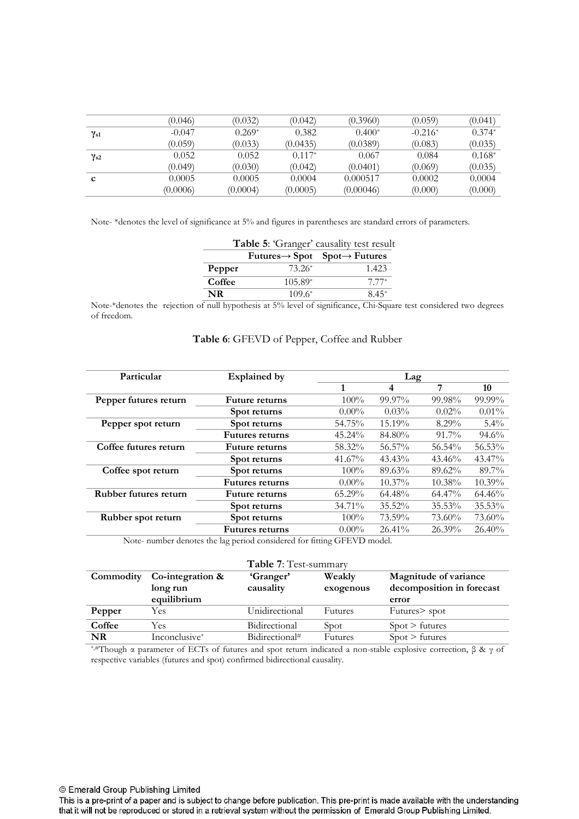|               | (0.046)  | (0.032)  | (0.042)  | (0.3960)  | (0.059)   | (0.041)  |
|---------------|----------|----------|----------|-----------|-----------|----------|
| $\gamma_{s1}$ | $-0.047$ | $0.269*$ | 0.382    | $0.400*$  | $-0.216*$ | $0.374*$ |
|               | (0.059)  | (0.033)  | (0.0435) | (0.0389)  | (0.083)   | (0.035)  |
| $\gamma_{s2}$ | 0.052    | 0.052    | $0.117*$ | 0.067     | 0.084     | $0.168*$ |
|               | (0.049)  | (0.030)  | (0.042)  | (0.0401)  | (0.069)   | (0.035)  |
| c             | 0.0005   | 0.0005   | 0.0004   | 0.000517  | 0.0002    | 0.0004   |
|               | (0.0006) | (0.0004) | (0.0005) | (0.00046) | (0.000)   | (0.000)  |

Note \*denotes the level of significance at 5% and figures in parentheses are standard errors of parameters.

| Table 5: 'Granger' causality test result |           |                                                       |  |  |  |  |  |
|------------------------------------------|-----------|-------------------------------------------------------|--|--|--|--|--|
|                                          |           | $Futures \rightarrow Spot$ Spot $\rightarrow Futures$ |  |  |  |  |  |
| Pepper                                   | 73.26*    | 1.423                                                 |  |  |  |  |  |
| Coffee                                   | $105.89*$ | $7.77*$                                               |  |  |  |  |  |
| NR                                       | $109.6*$  | 8.45*                                                 |  |  |  |  |  |

Note\*denotes the rejection of null hypothesis at 5% level of significance, ChiSquare test considered two degrees of freedom.

| Particular            | <b>Explained by</b>    | Lag       |           |           |           |
|-----------------------|------------------------|-----------|-----------|-----------|-----------|
|                       |                        |           | 4         | 7         | 10        |
| Pepper futures return | <b>Future returns</b>  | $100\%$   | 99.97%    | 99.98%    | 99.99%    |
|                       | Spot returns           | $0.00\%$  | 0.03%     | $0.02\%$  | $0.01\%$  |
| Pepper spot return    | Spot returns           | 54.75%    | 15.19%    | $8.29\%$  | $5.4\%$   |
|                       | <b>Futures returns</b> | $45.24\%$ | 84.80%    | $91.7\%$  | $94.6\%$  |
| Coffee futures return | <b>Future returns</b>  | 58.32%    | 56.57%    | 56.54%    | 56.53%    |
|                       | Spot returns           | $41.67\%$ | $43.43\%$ | $43.46\%$ | 43.47%    |
| Coffee spot return    | Spot returns           | $100\%$   | 89.63%    | 89.62%    | 89.7%     |
|                       | <b>Futures returns</b> | $0.00\%$  | $10.37\%$ | $10.38\%$ | $10.39\%$ |
| Rubber futures return | <b>Future returns</b>  | $65.29\%$ | 64.48%    | 64.47%    | 64.46%    |
|                       | Spot returns           | 34.71%    | 35.52%    | $35.53\%$ | $35.53\%$ |
| Rubber spot return    | Spot returns           | $100\%$   | 73.59%    | 73.60%    | 73.60%    |
|                       | <b>Futures returns</b> | $0.00\%$  | 26.41%    | $26.39\%$ | 26.40%    |
|                       |                        |           |           |           |           |

## **Table 6**: GFEVD of Pepper, Coffee and Rubber

Note- number denotes the lag period considered for fitting GFEVD model.

|           |                              | Table 7: Test-summary  |                     |                                                    |
|-----------|------------------------------|------------------------|---------------------|----------------------------------------------------|
| Commodity | Co-integration &<br>long run | 'Granger'<br>causality | Weakly<br>exogenous | Magnitude of variance<br>decomposition in forecast |
|           | equilibrium                  |                        |                     | error                                              |
| Pepper    | Yes                          | Unidirectional         | Futures             | Futures > spot                                     |
| Coffee    | Yes                          | Bidirectional          | Spot                | $Spot$ > futures                                   |
| NR        | Inconclusive*                | Bidirectional#         | Futures             | $Spot$ > futures                                   |

\*,#Though α parameter of ECTs of futures and spot return indicated a nonstable explosive correction, β & γ of respective variables (futures and spot) confirmed bidirectional causality.

© Emerald Group Publishing Limited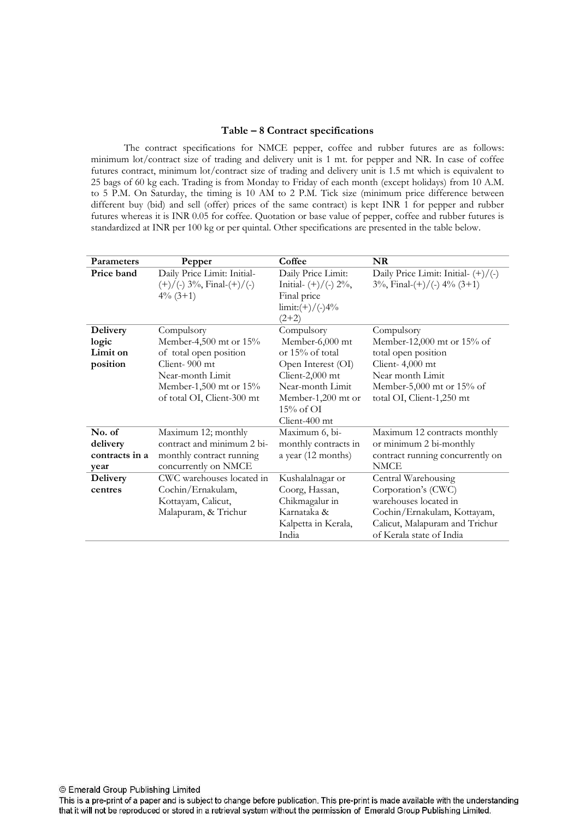### **Table – 8 Contract specifications**

The contract specifications for NMCE pepper, coffee and rubber futures are as follows: minimum lot/contract size of trading and delivery unit is 1 mt. for pepper and NR. In case of coffee futures contract, minimum lot/contract size of trading and delivery unit is 1.5 mt which is equivalent to 25 bags of 60 kg each. Trading is from Monday to Friday of each month (except holidays) from 10 A.M. to 5 P.M. On Saturday, the timing is 10 AM to 2 P.M. Tick size (minimum price difference between different buy (bid) and sell (offer) prices of the same contract) is kept INR 1 for pepper and rubber futures whereas it is INR 0.05 for coffee. Quotation or base value of pepper, coffee and rubber futures is standardized at INR per 100 kg or per quintal. Other specifications are presented in the table below.

| <b>Parameters</b>                                | Pepper                                                                                                                                                      | Coffee                                                                                                                                                                 | NR                                                                                                                                                               |
|--------------------------------------------------|-------------------------------------------------------------------------------------------------------------------------------------------------------------|------------------------------------------------------------------------------------------------------------------------------------------------------------------------|------------------------------------------------------------------------------------------------------------------------------------------------------------------|
| Price band                                       | Daily Price Limit: Initial-<br>$(+)/(-)$ 3%, Final- $(+)/(-)$<br>$4\%$ (3+1)                                                                                | Daily Price Limit:<br>Initial- $(+)/($ - $)$ 2%,<br>Final price<br>$\lim_{t \to \infty}$ (-)/(-)4%<br>$(2+2)$                                                          | Daily Price Limit: Initial- $(+)/(-)$<br>$3\%$ , Final- $(+)/($ - $)$ 4% $(3+1)$                                                                                 |
| <b>Delivery</b><br>logic<br>Limit on<br>position | Compulsory<br>Member-4,500 mt or 15%<br>of total open position<br>Client-900 mt<br>Near-month Limit<br>Member-1,500 mt or 15%<br>of total OI, Client-300 mt | Compulsory<br>Member-6,000 mt<br>or $15%$ of total<br>Open Interest (OI)<br>Client-2,000 mt<br>Near-month Limit<br>Member-1,200 mt or<br>$15\%$ of OI<br>Client-400 mt | Compulsory<br>Member-12,000 mt or 15% of<br>total open position<br>Client-4,000 mt<br>Near month Limit<br>Member-5,000 mt or 15% of<br>total OI, Client-1,250 mt |
| No. of<br>delivery<br>contracts in a<br>year     | Maximum 12; monthly<br>contract and minimum 2 bi-<br>monthly contract running<br>concurrently on NMCE                                                       | Maximum 6, bi-<br>monthly contracts in<br>a year (12 months)                                                                                                           | Maximum 12 contracts monthly<br>or minimum 2 bi-monthly<br>contract running concurrently on<br><b>NMCE</b>                                                       |
| <b>Delivery</b><br>centres                       | CWC warehouses located in<br>Cochin/Ernakulam,<br>Kottayam, Calicut,<br>Malapuram, & Trichur                                                                | Kushalalnagar or<br>Coorg, Hassan,<br>Chikmagalur in<br>Karnataka &<br>Kalpetta in Kerala,<br>India                                                                    | Central Warehousing<br>Corporation's (CWC)<br>warehouses located in<br>Cochin/Ernakulam, Kottayam,<br>Calicut, Malapuram and Trichur<br>of Kerala state of India |

© Emerald Group Publishing Limited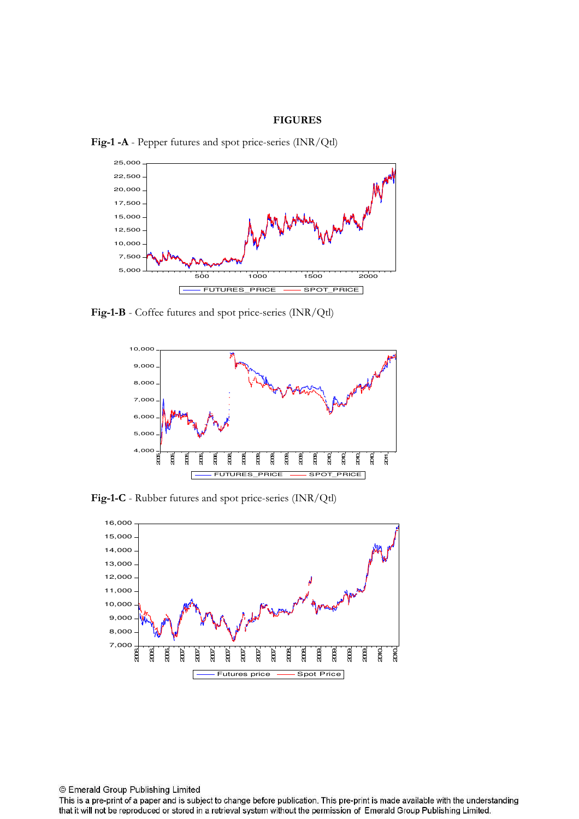#### **FIGURES**



Fig-1 -A - Pepper futures and spot price-series (INR/Qtl)

Fig-1-B - Coffee futures and spot price-series (INR/Qtl)



Fig-1-C - Rubber futures and spot price-series (INR/Qtl)



This is a pre-print of a paper and is subject to change before publication. This pre-print is made available with the understanding that it will not be reproduced or stored in a retrieval system without the permission of Emerald Group Publishing Limited.